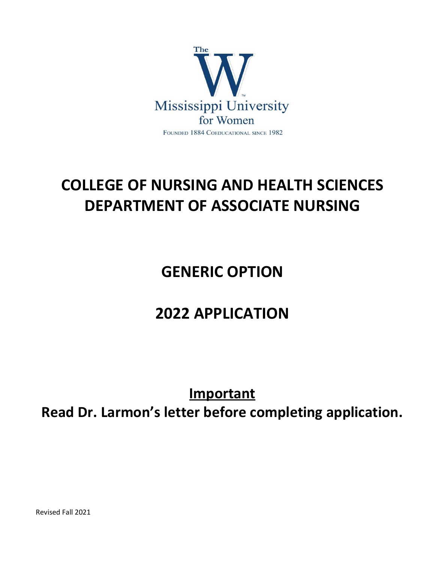

# **COLLEGE OF NURSING AND HEALTH SCIENCES DEPARTMENT OF ASSOCIATE NURSING**

## **GENERIC OPTION**

## **2022 APPLICATION**

**Important**

**Read Dr. Larmon's letter before completing application.**

Revised Fall 2021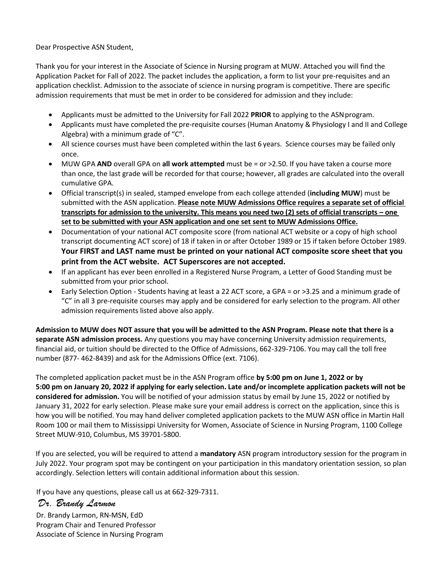Dear Prospective ASN Student,

Thank you for your interest in the Associate of Science in Nursing program at MUW. Attached you will find the Application Packet for Fall of 2022. The packet includes the application, a form to list your pre-requisites and an application checklist. Admission to the associate of science in nursing program is competitive. There are specific admission requirements that must be met in order to be considered for admission and they include:

- Applicants must be admitted to the University for Fall 2022 **PRIOR** to applying to the ASNprogram.
- Applicants must have completed the pre-requisite courses (Human Anatomy & Physiology I and II and College Algebra) with a minimum grade of "C".
- All science courses must have been completed within the last 6 years. Science courses may be failed only once.
- MUW GPA **AND** overall GPA on **all work attempted** must be = or >2.50. If you have taken a course more than once, the last grade will be recorded for that course; however, all grades are calculated into the overall cumulative GPA.
- Official transcript(s) in sealed, stamped envelope from each college attended (**including MUW**) must be submitted with the ASN application. **Please note MUW Admissions Office requires a separate set of official transcripts for admission to the university. This means you need two (2) sets of official transcripts – one set to be submitted with your ASN application and one set sent to MUW Admissions Office.**
- Documentation of your national ACT composite score (from national ACT website or a copy of high school transcript documenting ACT score) of 18 if taken in or after October 1989 or 15 if taken before October 1989. **Your FIRST and LAST name must be printed on your national ACT composite score sheet that you print from the ACT website. ACT Superscores are not accepted.**
- If an applicant has ever been enrolled in a Registered Nurse Program, a Letter of Good Standing must be submitted from your prior school.
- Early Selection Option Students having at least a 22 ACT score, a GPA = or >3.25 and a minimum grade of "C" in all 3 pre-requisite courses may apply and be considered for early selection to the program. All other admission requirements listed above also apply.

**Admission to MUW does NOT assure that you will be admitted to the ASN Program. Please note that there is a separate ASN admission process.** Any questions you may have concerning University admission requirements, financial aid, or tuition should be directed to the Office of Admissions, 662-329-7106. You may call the toll free number (877- 462-8439) and ask for the Admissions Office (ext. 7106).

The completed application packet must be in the ASN Program office **by 5:00 pm on June 1, 2022 or by 5:00 pm on January 20, 2022 if applying for early selection. Late and/or incomplete application packets will not be considered for admission.** You will be notified of your admission status by email by June 15, 2022 or notified by January 31, 2022 for early selection. Please make sure your email address is correct on the application, since this is how you will be notified. You may hand deliver completed application packets to the MUW ASN office in Martin Hall Room 100 or mail them to Mississippi University for Women, Associate of Science in Nursing Program, 1100 College Street MUW-910, Columbus, MS 39701-5800.

If you are selected, you will be required to attend a **mandatory** ASN program introductory session for the program in July 2022. Your program spot may be contingent on your participation in this mandatory orientation session, so plan accordingly. Selection letters will contain additional information about this session.

If you have any questions, please call us at 662-329-7311.

### *Dr. Brandy Larmon*

 Dr. Brandy Larmon, RN-MSN, EdD Program Chair and Tenured Professor Associate of Science in Nursing Program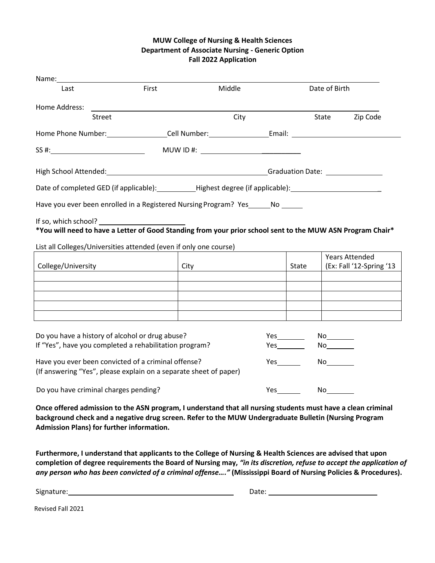#### **MUW College of Nursing & Health Sciences Department of Associate Nursing - Generic Option Fall 2022 Application**

| Name:                                                                                                                    |       |          |               |               |                                                   |          |
|--------------------------------------------------------------------------------------------------------------------------|-------|----------|---------------|---------------|---------------------------------------------------|----------|
| Last                                                                                                                     | First | Middle   |               | Date of Birth |                                                   |          |
| Home Address:                                                                                                            |       |          |               |               |                                                   |          |
| Street                                                                                                                   |       | City     |               |               | State                                             | Zip Code |
| Home Phone Number: ____________________Cell Number: ____________________________                                         |       |          |               |               |                                                   |          |
| SS #:                                                                                                                    |       | MUWID #: |               |               |                                                   |          |
|                                                                                                                          |       |          |               |               |                                                   |          |
| Date of completed GED (if applicable): ____________Highest degree (if applicable): __________________________            |       |          |               |               |                                                   |          |
| Have you ever been enrolled in a Registered Nursing Program? Yes No                                                      |       |          |               |               |                                                   |          |
| *You will need to have a Letter of Good Standing from your prior school sent to the MUW ASN Program Chair*               |       |          |               |               |                                                   |          |
| List all Colleges/Universities attended (even if only one course)                                                        |       |          |               |               |                                                   |          |
| College/University                                                                                                       | City  |          |               | State         | <b>Years Attended</b><br>(Ex: Fall '12-Spring '13 |          |
|                                                                                                                          |       |          |               |               |                                                   |          |
|                                                                                                                          |       |          |               |               |                                                   |          |
|                                                                                                                          |       |          |               |               |                                                   |          |
|                                                                                                                          |       |          |               |               |                                                   |          |
| Do you have a history of alcohol or drug abuse?<br>If "Yes", have you completed a rehabilitation program?                |       |          | No<br>No      |               |                                                   |          |
| Have you ever been convicted of a criminal offense?<br>(If answering "Yes", please explain on a separate sheet of paper) |       |          | $Yes$ and $X$ |               |                                                   |          |
| Do you have criminal charges pending?                                                                                    |       |          |               | $Yes$ and $X$ |                                                   |          |

**Once offered admission to the ASN program, I understand that all nursing students must have a clean criminal background check and a negative drug screen. Refer to the MUW Undergraduate Bulletin (Nursing Program Admission Plans) for further information.**

**Furthermore, I understand that applicants to the College of Nursing & Health Sciences are advised that upon completion of degree requirements the Board of Nursing may,** *"in its discretion, refuse to accept the application of any person who has been convicted of a criminal offense…."* **(Mississippi Board of Nursing Policies & Procedures).**

Signature: Date:

Revised Fall 2021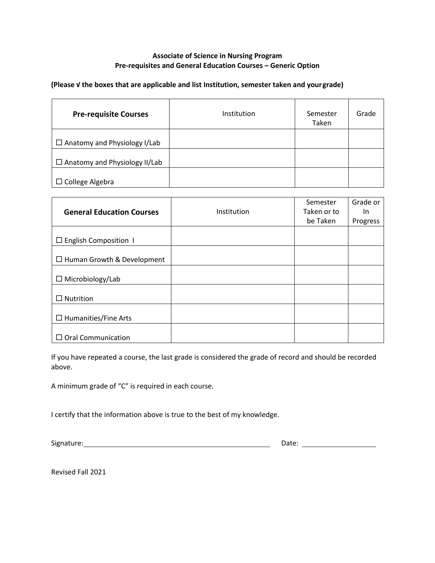#### **Associate of Science in Nursing Program Pre-requisites and General Education Courses – Generic Option**

#### **(Please √ the boxes that are applicable and list Institution, semester taken and yourgrade)**

| <b>Pre-requisite Courses</b>         | Institution | Semester<br>Taken | Grade |
|--------------------------------------|-------------|-------------------|-------|
| $\Box$ Anatomy and Physiology I/Lab  |             |                   |       |
| $\Box$ Anatomy and Physiology II/Lab |             |                   |       |
| $\Box$ College Algebra               |             |                   |       |

|                                   |             | Semester    | Grade or |
|-----------------------------------|-------------|-------------|----------|
| <b>General Education Courses</b>  | Institution | Taken or to | In       |
|                                   |             | be Taken    | Progress |
|                                   |             |             |          |
| $\Box$ English Composition 1      |             |             |          |
|                                   |             |             |          |
| $\Box$ Human Growth & Development |             |             |          |
|                                   |             |             |          |
| $\Box$ Microbiology/Lab           |             |             |          |
|                                   |             |             |          |
| Nutrition                         |             |             |          |
|                                   |             |             |          |
| $\Box$ Humanities/Fine Arts       |             |             |          |
|                                   |             |             |          |
| $\Box$ Oral Communication         |             |             |          |

If you have repeated a course, the last grade is considered the grade of record and should be recorded above.

A minimum grade of "C" is required in each course.

I certify that the information above is true to the best of my knowledge.

Signature: Date:

Revised Fall 2021